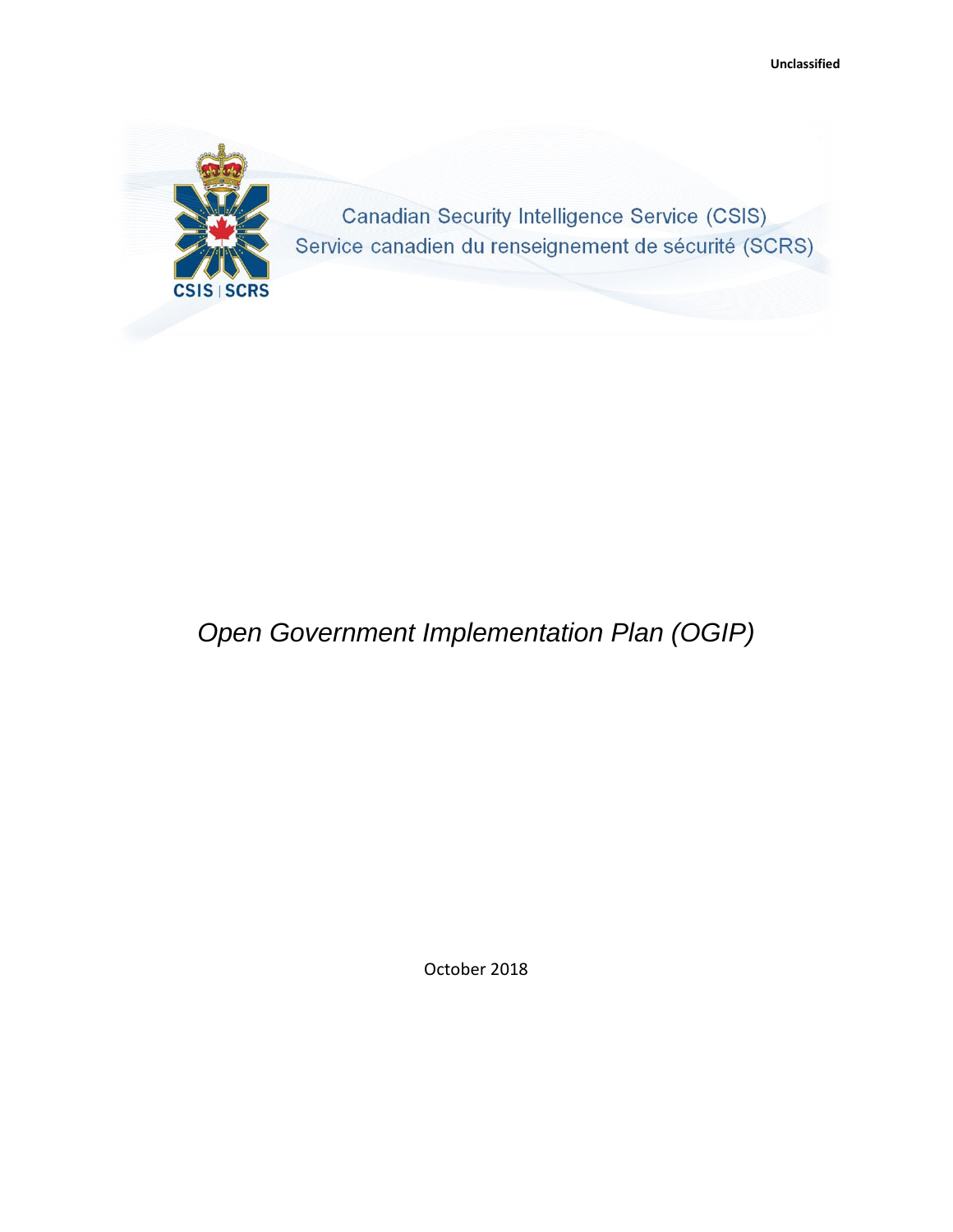

# *Open Government Implementation Plan (OGIP)*

October 2018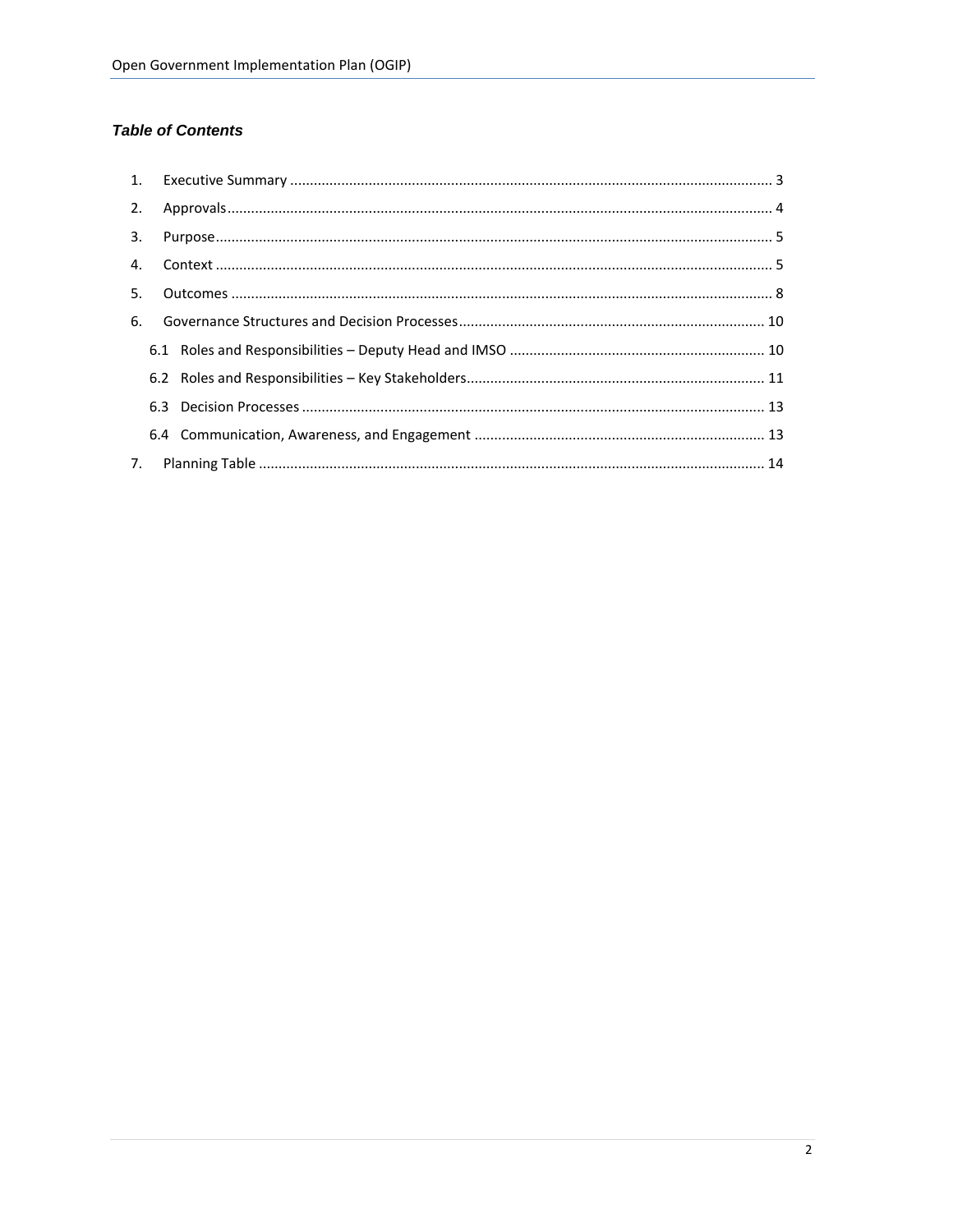# **Table of Contents**

| 5. |  |  |
|----|--|--|
|    |  |  |
|    |  |  |
|    |  |  |
|    |  |  |
|    |  |  |
|    |  |  |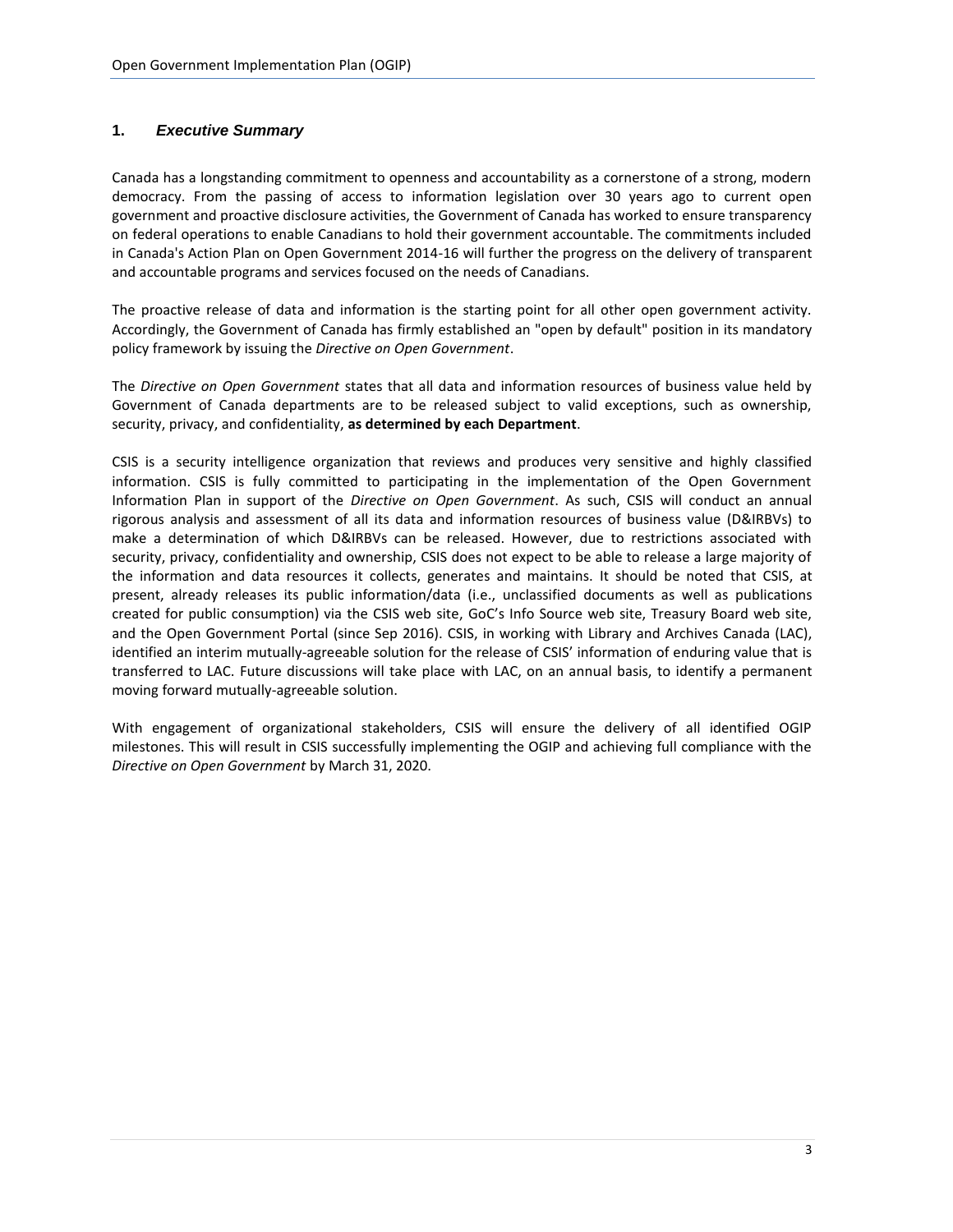# <span id="page-2-0"></span>**1.** *Executive Summary*

Canada has a longstanding commitment to openness and accountability as a cornerstone of a strong, modern democracy. From the passing of access to information legislation over 30 years ago to current open government and proactive disclosure activities, the Government of Canada has worked to ensure transparency on federal operations to enable Canadians to hold their government accountable. The commitments included in Canada's Action Plan on Open Government 2014-16 will further the progress on the delivery of transparent and accountable programs and services focused on the needs of Canadians.

The proactive release of data and information is the starting point for all other open government activity. Accordingly, the Government of Canada has firmly established an "open by default" position in its mandatory policy framework by issuing the *Directive on Open Government*.

The *Directive on Open Government* states that all data and information resources of business value held by Government of Canada departments are to be released subject to valid exceptions, such as ownership, security, privacy, and confidentiality, **as determined by each Department**.

CSIS is a security intelligence organization that reviews and produces very sensitive and highly classified information. CSIS is fully committed to participating in the implementation of the Open Government Information Plan in support of the *Directive on Open Government*. As such, CSIS will conduct an annual rigorous analysis and assessment of all its data and information resources of business value (D&IRBVs) to make a determination of which D&IRBVs can be released. However, due to restrictions associated with security, privacy, confidentiality and ownership, CSIS does not expect to be able to release a large majority of the information and data resources it collects, generates and maintains. It should be noted that CSIS, at present, already releases its public information/data (i.e., unclassified documents as well as publications created for public consumption) via the CSIS web site, GoC's Info Source web site, Treasury Board web site, and the Open Government Portal (since Sep 2016). CSIS, in working with Library and Archives Canada (LAC), identified an interim mutually-agreeable solution for the release of CSIS' information of enduring value that is transferred to LAC. Future discussions will take place with LAC, on an annual basis, to identify a permanent moving forward mutually-agreeable solution.

With engagement of organizational stakeholders, CSIS will ensure the delivery of all identified OGIP milestones. This will result in CSIS successfully implementing the OGIP and achieving full compliance with the *Directive on Open Government* by March 31, 2020.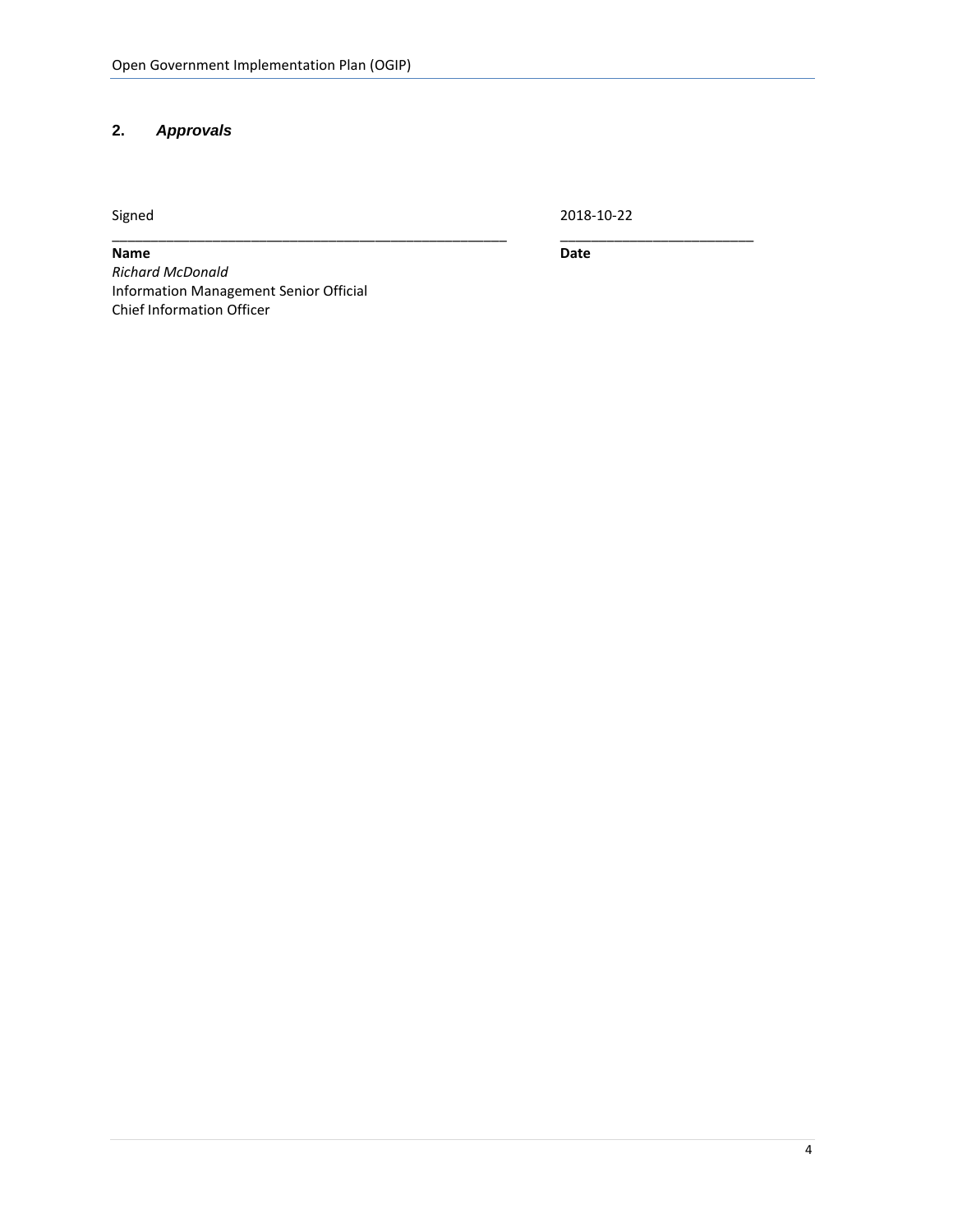# <span id="page-3-0"></span>**2.** *Approvals*

Signed 2018-10-22

\_\_\_\_\_\_\_\_\_\_\_\_\_\_\_\_\_\_\_\_\_\_\_\_\_\_\_\_\_\_\_\_\_\_\_\_\_\_\_\_\_\_\_\_\_\_\_\_\_\_\_ \_\_\_\_\_\_\_\_\_\_\_\_\_\_\_\_\_\_\_\_\_\_\_\_\_

<span id="page-3-1"></span>**Name Date** *Richard McDonald* Information Management Senior Official Chief Information Officer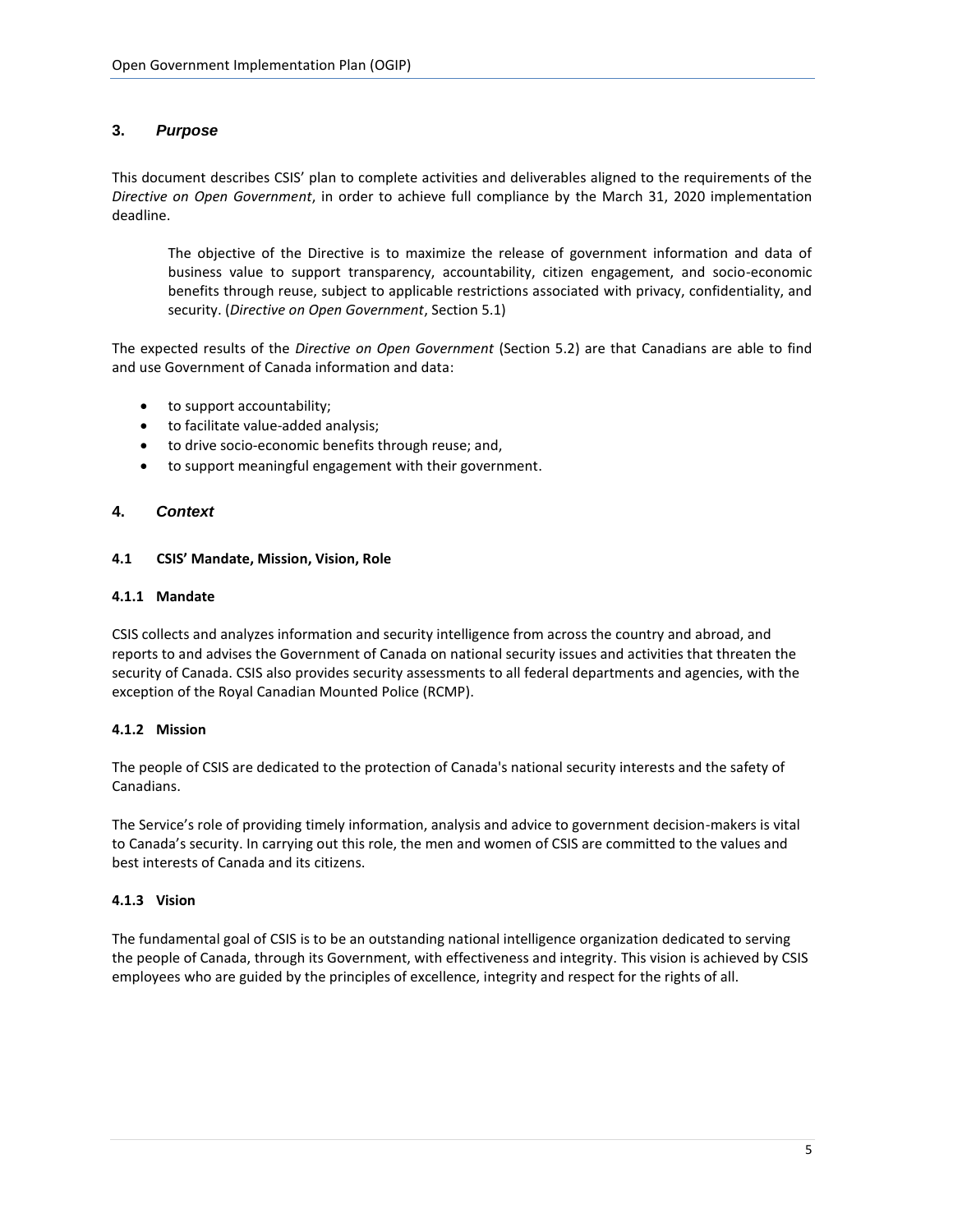# **3.** *Purpose*

This document describes CSIS' plan to complete activities and deliverables aligned to the requirements of the *Directive on Open Government*, in order to achieve full compliance by the March 31, 2020 implementation deadline.

The objective of the Directive is to maximize the release of government information and data of business value to support transparency, accountability, citizen engagement, and socio-economic benefits through reuse, subject to applicable restrictions associated with privacy, confidentiality, and security. (*Directive on Open Government*, Section 5.1)

The expected results of the *Directive on Open Government* (Section 5.2) are that Canadians are able to find and use Government of Canada information and data:

- to support accountability;
- to facilitate value-added analysis;
- to drive socio-economic benefits through reuse; and,
- to support meaningful engagement with their government.

# <span id="page-4-0"></span>**4.** *Context*

#### **4.1 CSIS' Mandate, Mission, Vision, Role**

#### **4.1.1 Mandate**

CSIS collects and analyzes information and security intelligence from across the country and abroad, and reports to and advises the Government of Canada on national security issues and activities that threaten the security of Canada. CSIS also provides security assessments to all federal departments and agencies, with the exception of the Royal Canadian Mounted Police (RCMP).

#### **4.1.2 Mission**

The people of CSIS are dedicated to the protection of Canada's national security interests and the safety of Canadians.

The Service's role of providing timely information, analysis and advice to government decision-makers is vital to Canada's security. In carrying out this role, the men and women of CSIS are committed to the values and best interests of Canada and its citizens.

#### **4.1.3 Vision**

The fundamental goal of CSIS is to be an outstanding national intelligence organization dedicated to serving the people of Canada, through its Government, with effectiveness and integrity. This vision is achieved by CSIS employees who are guided by the principles of excellence, integrity and respect for the rights of all.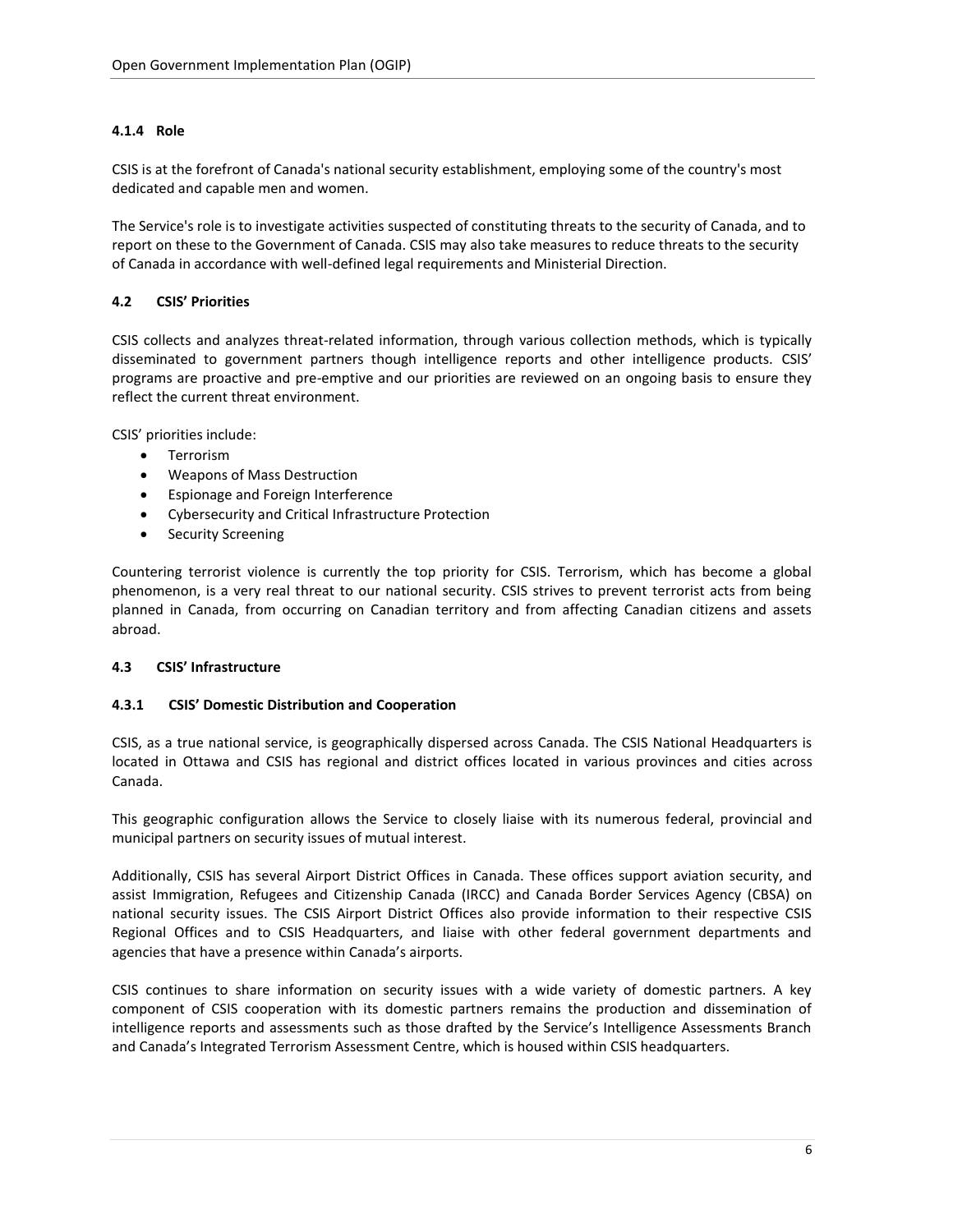# **4.1.4 Role**

CSIS is at the forefront of Canada's national security establishment, employing some of the country's most dedicated and capable men and women.

The Service's role is to investigate activities suspected of constituting threats to the security of Canada, and to report on these to the Government of Canada. CSIS may also take measures to reduce threats to the security of Canada in accordance with well-defined legal requirements and Ministerial Direction.

# **4.2 CSIS' Priorities**

CSIS collects and analyzes threat-related information, through various collection methods, which is typically disseminated to government partners though intelligence reports and other intelligence products. CSIS' programs are proactive and pre-emptive and our priorities are reviewed on an ongoing basis to ensure they reflect the current threat environment.

CSIS' priorities include:

- Terrorism
- Weapons of Mass Destruction
- Espionage and Foreign Interference
- Cybersecurity and Critical Infrastructure Protection
- Security Screening

Countering terrorist violence is currently the top priority for CSIS. Terrorism, which has become a global phenomenon, is a very real threat to our national security. CSIS strives to prevent terrorist acts from being planned in Canada, from occurring on Canadian territory and from affecting Canadian citizens and assets abroad.

#### **4.3 CSIS' Infrastructure**

#### **4.3.1 CSIS' Domestic Distribution and Cooperation**

CSIS, as a true national service, is geographically dispersed across Canada. The CSIS National Headquarters is located in Ottawa and CSIS has regional and district offices located in various provinces and cities across Canada.

This geographic configuration allows the Service to closely liaise with its numerous federal, provincial and municipal partners on security issues of mutual interest.

Additionally, CSIS has several Airport District Offices in Canada. These offices support aviation security, and assist Immigration, Refugees and Citizenship Canada (IRCC) and Canada Border Services Agency (CBSA) on national security issues. The CSIS Airport District Offices also provide information to their respective CSIS Regional Offices and to CSIS Headquarters, and liaise with other federal government departments and agencies that have a presence within Canada's airports.

CSIS continues to share information on security issues with a wide variety of domestic partners. A key component of CSIS cooperation with its domestic partners remains the production and dissemination of intelligence reports and assessments such as those drafted by the Service's Intelligence Assessments Branch and Canada's Integrated Terrorism Assessment Centre, which is housed within CSIS headquarters.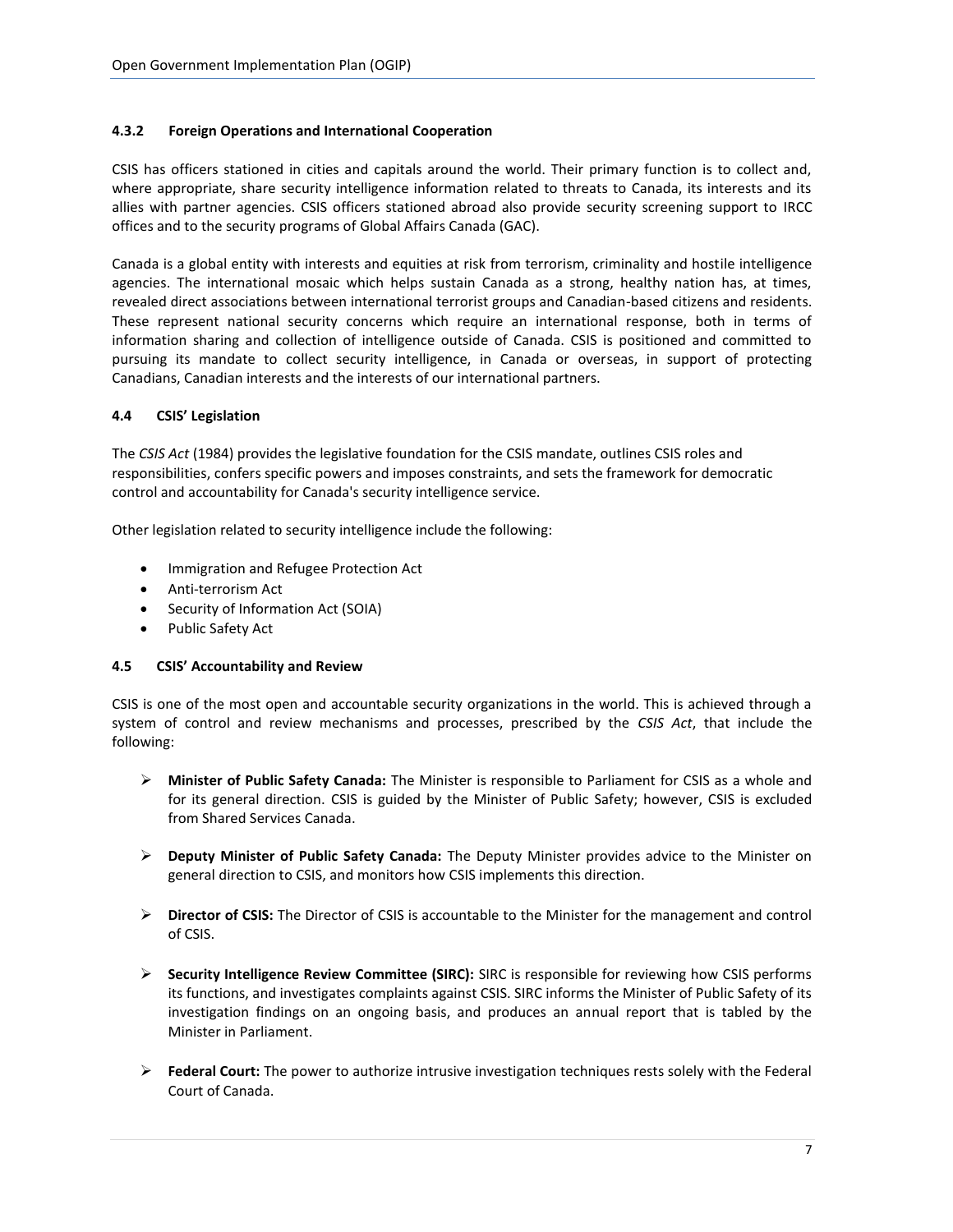#### **4.3.2 Foreign Operations and International Cooperation**

CSIS has officers stationed in cities and capitals around the world. Their primary function is to collect and, where appropriate, share security intelligence information related to threats to Canada, its interests and its allies with partner agencies. CSIS officers stationed abroad also provide security screening support to IRCC offices and to the security programs of Global Affairs Canada (GAC).

Canada is a global entity with interests and equities at risk from terrorism, criminality and hostile intelligence agencies. The international mosaic which helps sustain Canada as a strong, healthy nation has, at times, revealed direct associations between international terrorist groups and Canadian-based citizens and residents. These represent national security concerns which require an international response, both in terms of information sharing and collection of intelligence outside of Canada. CSIS is positioned and committed to pursuing its mandate to collect security intelligence, in Canada or overseas, in support of protecting Canadians, Canadian interests and the interests of our international partners.

#### **4.4 CSIS' Legislation**

The *CSIS Act* (1984) provides the legislative foundation for the CSIS mandate, outlines CSIS roles and responsibilities, confers specific powers and imposes constraints, and sets the framework for democratic control and accountability for Canada's security intelligence service.

Other legislation related to security intelligence include the following:

- **•** Immigration and Refugee Protection Act
- Anti-terrorism Act
- Security of Information Act (SOIA)
- Public Safety Act

#### **4.5 CSIS' Accountability and Review**

CSIS is one of the most open and accountable security organizations in the world. This is achieved through a system of control and review mechanisms and processes, prescribed by the *CSIS Act*, that include the following:

- **Minister of Public Safety Canada:** The Minister is responsible to Parliament for CSIS as a whole and for its general direction. CSIS is guided by the Minister of Public Safety; however, CSIS is excluded from Shared Services Canada.
- **Deputy Minister of Public Safety Canada:** The Deputy Minister provides advice to the Minister on general direction to CSIS, and monitors how CSIS implements this direction.
- **Director of CSIS:** The Director of CSIS is accountable to the Minister for the management and control of CSIS.
- **Security Intelligence Review Committee (SIRC):** SIRC is responsible for reviewing how CSIS performs its functions, and investigates complaints against CSIS. SIRC informs the Minister of Public Safety of its investigation findings on an ongoing basis, and produces an annual report that is tabled by the Minister in Parliament.
- **Federal Court:** The power to authorize intrusive investigation techniques rests solely with the Federal Court of Canada.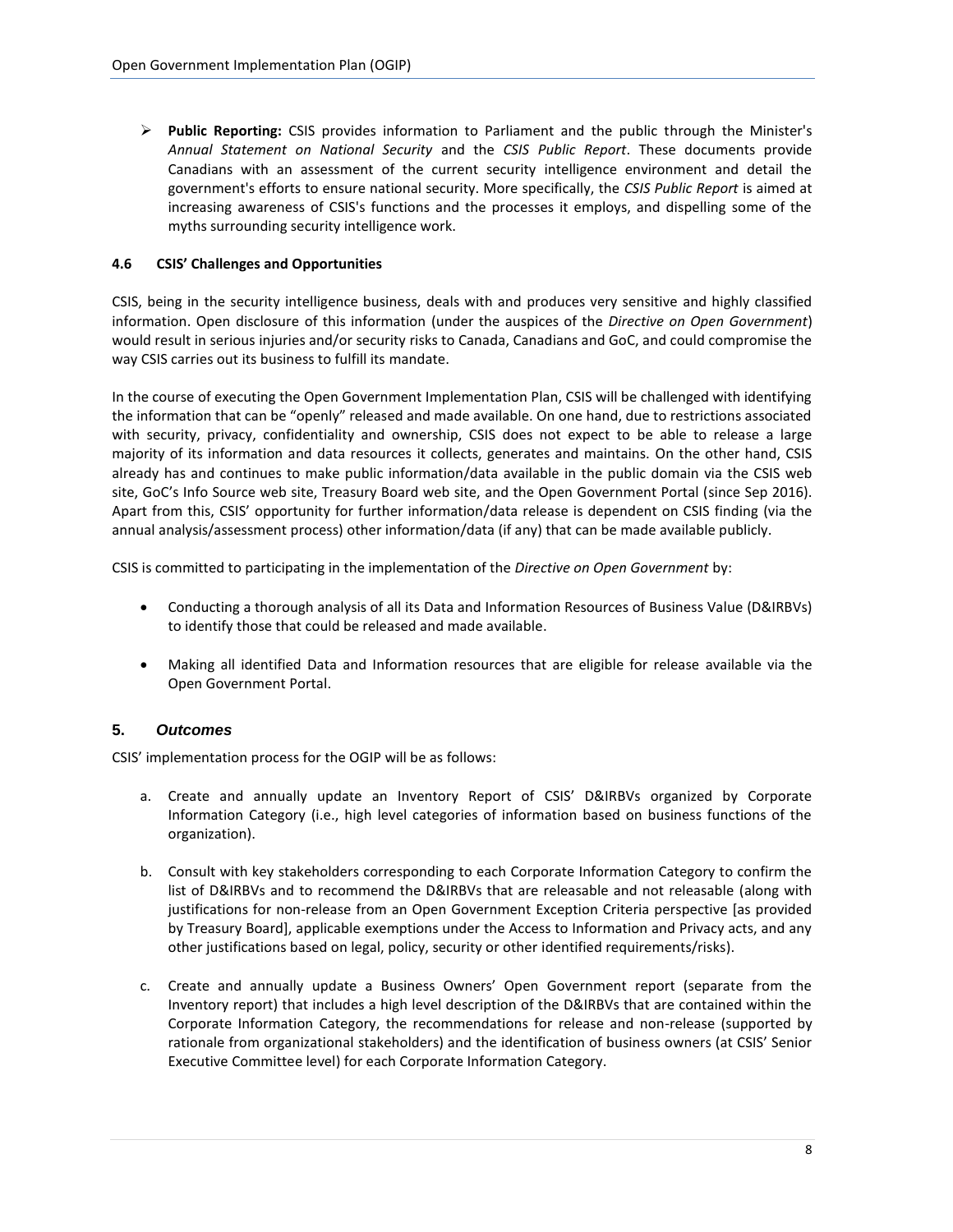**Public Reporting:** CSIS provides information to Parliament and the public through the Minister's *Annual Statement on National Security* and the *CSIS Public Report*. These documents provide Canadians with an assessment of the current security intelligence environment and detail the government's efforts to ensure national security. More specifically, the *CSIS Public Report* is aimed at increasing awareness of CSIS's functions and the processes it employs, and dispelling some of the myths surrounding security intelligence work.

# **4.6 CSIS' Challenges and Opportunities**

CSIS, being in the security intelligence business, deals with and produces very sensitive and highly classified information. Open disclosure of this information (under the auspices of the *Directive on Open Government*) would result in serious injuries and/or security risks to Canada, Canadians and GoC, and could compromise the way CSIS carries out its business to fulfill its mandate.

In the course of executing the Open Government Implementation Plan, CSIS will be challenged with identifying the information that can be "openly" released and made available. On one hand, due to restrictions associated with security, privacy, confidentiality and ownership, CSIS does not expect to be able to release a large majority of its information and data resources it collects, generates and maintains. On the other hand, CSIS already has and continues to make public information/data available in the public domain via the CSIS web site, GoC's Info Source web site, Treasury Board web site, and the Open Government Portal (since Sep 2016). Apart from this, CSIS' opportunity for further information/data release is dependent on CSIS finding (via the annual analysis/assessment process) other information/data (if any) that can be made available publicly.

CSIS is committed to participating in the implementation of the *Directive on Open Government* by:

- Conducting a thorough analysis of all its Data and Information Resources of Business Value (D&IRBVs) to identify those that could be released and made available.
- Making all identified Data and Information resources that are eligible for release available via the Open Government Portal.

# <span id="page-7-0"></span>**5.** *Outcomes*

CSIS' implementation process for the OGIP will be as follows:

- a. Create and annually update an Inventory Report of CSIS' D&IRBVs organized by Corporate Information Category (i.e., high level categories of information based on business functions of the organization).
- b. Consult with key stakeholders corresponding to each Corporate Information Category to confirm the list of D&IRBVs and to recommend the D&IRBVs that are releasable and not releasable (along with justifications for non-release from an Open Government Exception Criteria perspective [as provided by Treasury Board], applicable exemptions under the Access to Information and Privacy acts, and any other justifications based on legal, policy, security or other identified requirements/risks).
- c. Create and annually update a Business Owners' Open Government report (separate from the Inventory report) that includes a high level description of the D&IRBVs that are contained within the Corporate Information Category, the recommendations for release and non-release (supported by rationale from organizational stakeholders) and the identification of business owners (at CSIS' Senior Executive Committee level) for each Corporate Information Category.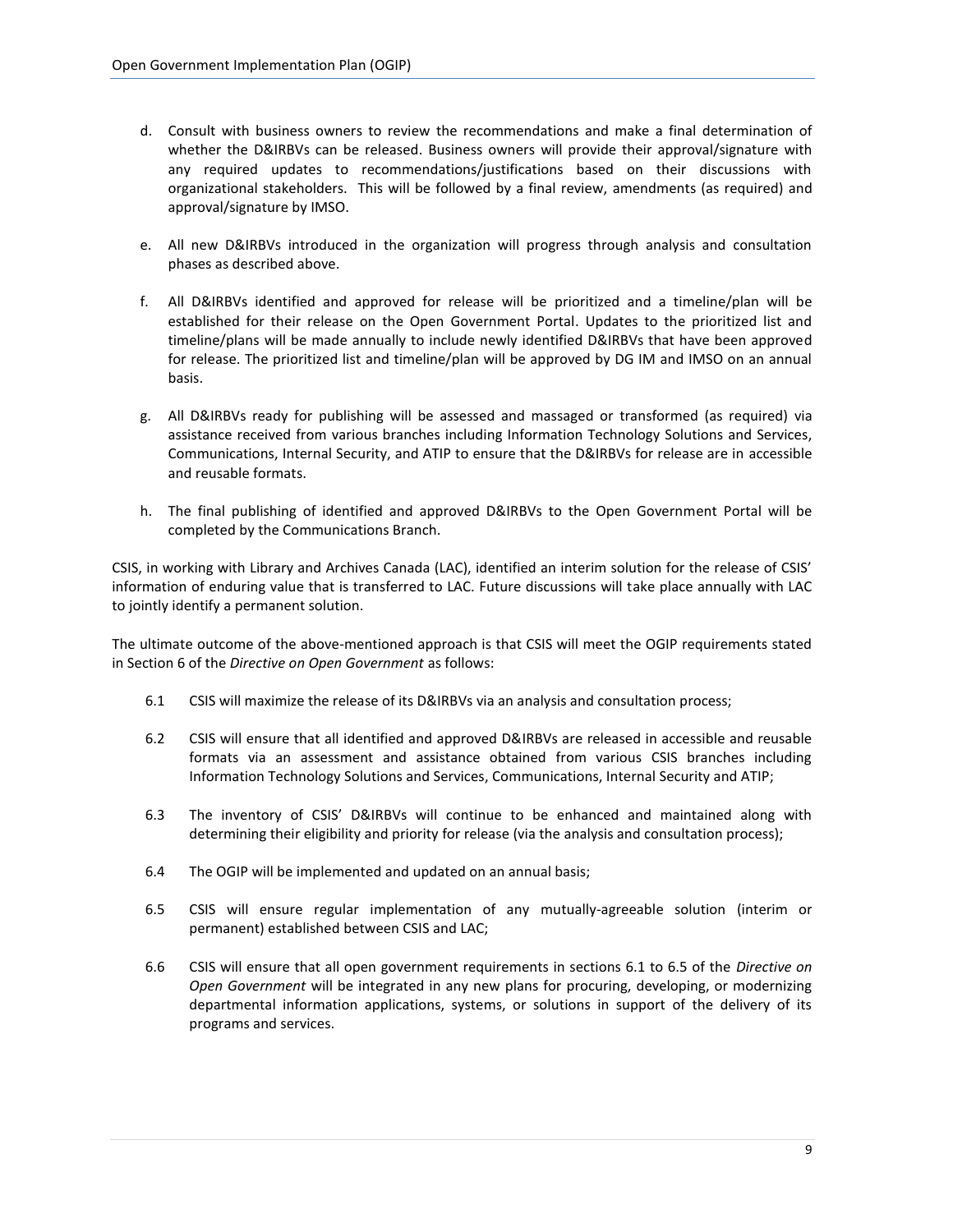- d. Consult with business owners to review the recommendations and make a final determination of whether the D&IRBVs can be released. Business owners will provide their approval/signature with any required updates to recommendations/justifications based on their discussions with organizational stakeholders. This will be followed by a final review, amendments (as required) and approval/signature by IMSO.
- e. All new D&IRBVs introduced in the organization will progress through analysis and consultation phases as described above.
- f. All D&IRBVs identified and approved for release will be prioritized and a timeline/plan will be established for their release on the Open Government Portal. Updates to the prioritized list and timeline/plans will be made annually to include newly identified D&IRBVs that have been approved for release. The prioritized list and timeline/plan will be approved by DG IM and IMSO on an annual basis.
- g. All D&IRBVs ready for publishing will be assessed and massaged or transformed (as required) via assistance received from various branches including Information Technology Solutions and Services, Communications, Internal Security, and ATIP to ensure that the D&IRBVs for release are in accessible and reusable formats.
- h. The final publishing of identified and approved D&IRBVs to the Open Government Portal will be completed by the Communications Branch.

CSIS, in working with Library and Archives Canada (LAC), identified an interim solution for the release of CSIS' information of enduring value that is transferred to LAC. Future discussions will take place annually with LAC to jointly identify a permanent solution.

The ultimate outcome of the above-mentioned approach is that CSIS will meet the OGIP requirements stated in Section 6 of the *Directive on Open Government* as follows:

- 6.1 CSIS will maximize the release of its D&IRBVs via an analysis and consultation process;
- 6.2 CSIS will ensure that all identified and approved D&IRBVs are released in accessible and reusable formats via an assessment and assistance obtained from various CSIS branches including Information Technology Solutions and Services, Communications, Internal Security and ATIP;
- 6.3 The inventory of CSIS' D&IRBVs will continue to be enhanced and maintained along with determining their eligibility and priority for release (via the analysis and consultation process);
- 6.4 The OGIP will be implemented and updated on an annual basis;
- 6.5 CSIS will ensure regular implementation of any mutually-agreeable solution (interim or permanent) established between CSIS and LAC;
- 6.6 CSIS will ensure that all open government requirements in sections 6.1 to 6.5 of the *Directive on Open Government* will be integrated in any new plans for procuring, developing, or modernizing departmental information applications, systems, or solutions in support of the delivery of its programs and services.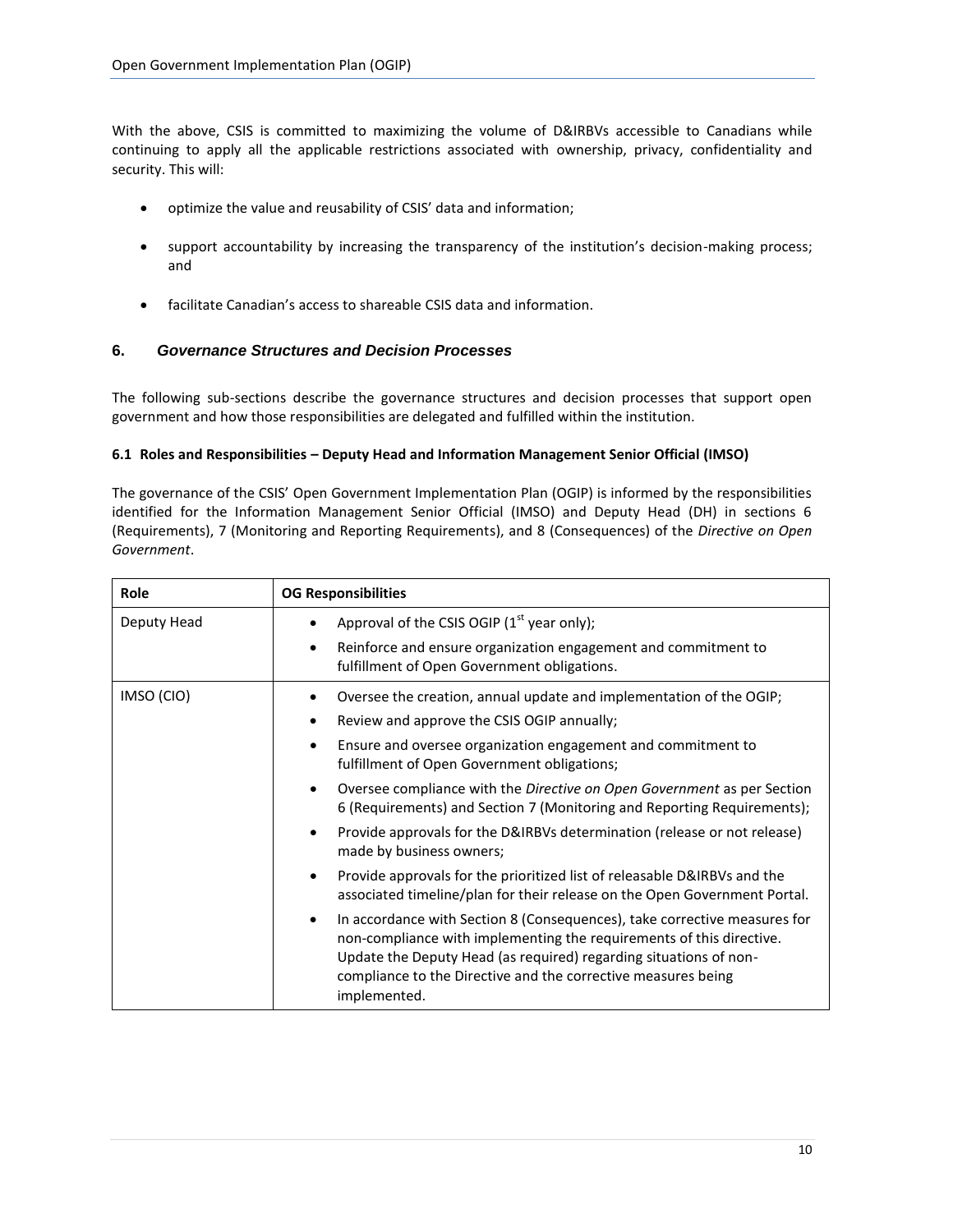With the above, CSIS is committed to maximizing the volume of D&IRBVs accessible to Canadians while continuing to apply all the applicable restrictions associated with ownership, privacy, confidentiality and security. This will:

- optimize the value and reusability of CSIS' data and information;
- support accountability by increasing the transparency of the institution's decision-making process; and
- facilitate Canadian's access to shareable CSIS data and information.

# <span id="page-9-0"></span>**6.** *Governance Structures and Decision Processes*

The following sub-sections describe the governance structures and decision processes that support open government and how those responsibilities are delegated and fulfilled within the institution.

#### <span id="page-9-1"></span>**6.1 Roles and Responsibilities – Deputy Head and Information Management Senior Official (IMSO)**

The governance of the CSIS' Open Government Implementation Plan (OGIP) is informed by the responsibilities identified for the Information Management Senior Official (IMSO) and Deputy Head (DH) in sections 6 (Requirements), 7 (Monitoring and Reporting Requirements), and 8 (Consequences) of the *Directive on Open Government*.

<span id="page-9-2"></span>

| Role        | <b>OG Responsibilities</b>                                                                                                                                                                                                                                                                              |  |  |
|-------------|---------------------------------------------------------------------------------------------------------------------------------------------------------------------------------------------------------------------------------------------------------------------------------------------------------|--|--|
| Deputy Head | Approval of the CSIS OGIP $(1st$ year only);                                                                                                                                                                                                                                                            |  |  |
|             | Reinforce and ensure organization engagement and commitment to<br>$\bullet$<br>fulfillment of Open Government obligations.                                                                                                                                                                              |  |  |
| IMSO (CIO)  | Oversee the creation, annual update and implementation of the OGIP;                                                                                                                                                                                                                                     |  |  |
|             | Review and approve the CSIS OGIP annually;<br>$\bullet$                                                                                                                                                                                                                                                 |  |  |
|             | Ensure and oversee organization engagement and commitment to<br>$\bullet$<br>fulfillment of Open Government obligations;                                                                                                                                                                                |  |  |
|             | Oversee compliance with the Directive on Open Government as per Section<br>$\bullet$<br>6 (Requirements) and Section 7 (Monitoring and Reporting Requirements);                                                                                                                                         |  |  |
|             | Provide approvals for the D&IRBVs determination (release or not release)<br>$\bullet$<br>made by business owners;                                                                                                                                                                                       |  |  |
|             | Provide approvals for the prioritized list of releasable D&IRBVs and the<br>$\bullet$<br>associated timeline/plan for their release on the Open Government Portal.                                                                                                                                      |  |  |
|             | In accordance with Section 8 (Consequences), take corrective measures for<br>non-compliance with implementing the requirements of this directive.<br>Update the Deputy Head (as required) regarding situations of non-<br>compliance to the Directive and the corrective measures being<br>implemented. |  |  |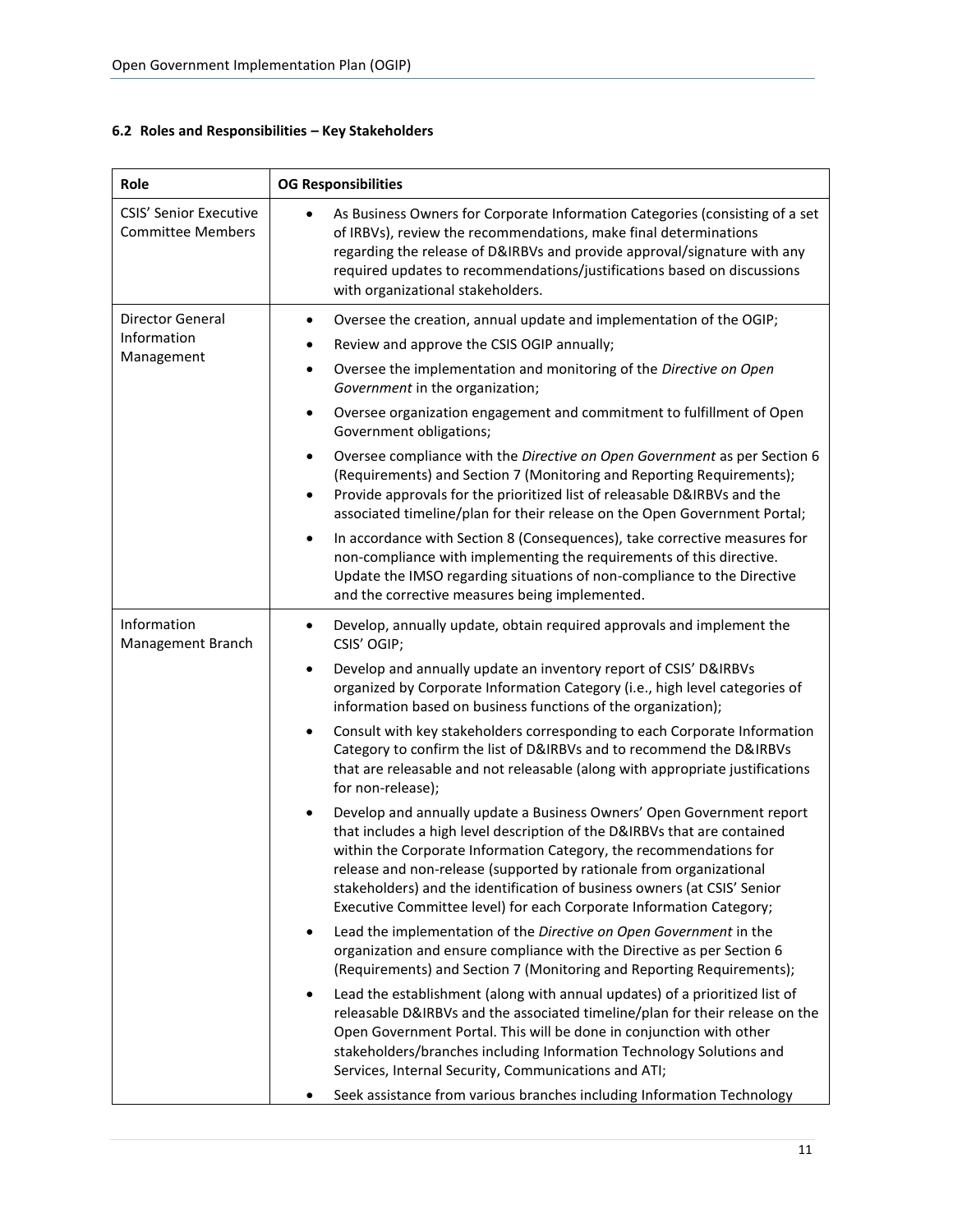|  |  |  |  |  | 6.2 Roles and Responsibilities - Key Stakeholders |
|--|--|--|--|--|---------------------------------------------------|
|--|--|--|--|--|---------------------------------------------------|

| Role                                                      | <b>OG Responsibilities</b>                                                                                                                                                                                                                                                                                                                                                                                                                                                                                                                                                                                                                                                                                                                                                                                                                                                                                                                                                                                                                                                                                                                                                                                                                                                                                                                                                                                                                                                                                                                                                                                                                                                       |
|-----------------------------------------------------------|----------------------------------------------------------------------------------------------------------------------------------------------------------------------------------------------------------------------------------------------------------------------------------------------------------------------------------------------------------------------------------------------------------------------------------------------------------------------------------------------------------------------------------------------------------------------------------------------------------------------------------------------------------------------------------------------------------------------------------------------------------------------------------------------------------------------------------------------------------------------------------------------------------------------------------------------------------------------------------------------------------------------------------------------------------------------------------------------------------------------------------------------------------------------------------------------------------------------------------------------------------------------------------------------------------------------------------------------------------------------------------------------------------------------------------------------------------------------------------------------------------------------------------------------------------------------------------------------------------------------------------------------------------------------------------|
| <b>CSIS' Senior Executive</b><br><b>Committee Members</b> | As Business Owners for Corporate Information Categories (consisting of a set<br>$\bullet$<br>of IRBVs), review the recommendations, make final determinations<br>regarding the release of D&IRBVs and provide approval/signature with any<br>required updates to recommendations/justifications based on discussions<br>with organizational stakeholders.                                                                                                                                                                                                                                                                                                                                                                                                                                                                                                                                                                                                                                                                                                                                                                                                                                                                                                                                                                                                                                                                                                                                                                                                                                                                                                                        |
| Director General<br>Information<br>Management             | Oversee the creation, annual update and implementation of the OGIP;<br>$\bullet$<br>Review and approve the CSIS OGIP annually;<br>Oversee the implementation and monitoring of the Directive on Open<br>$\bullet$<br>Government in the organization;<br>Oversee organization engagement and commitment to fulfillment of Open<br>$\bullet$<br>Government obligations;<br>Oversee compliance with the Directive on Open Government as per Section 6<br>$\bullet$<br>(Requirements) and Section 7 (Monitoring and Reporting Requirements);<br>Provide approvals for the prioritized list of releasable D&IRBVs and the<br>$\bullet$<br>associated timeline/plan for their release on the Open Government Portal;<br>In accordance with Section 8 (Consequences), take corrective measures for<br>$\bullet$<br>non-compliance with implementing the requirements of this directive.<br>Update the IMSO regarding situations of non-compliance to the Directive<br>and the corrective measures being implemented.                                                                                                                                                                                                                                                                                                                                                                                                                                                                                                                                                                                                                                                                    |
| Information<br>Management Branch                          | Develop, annually update, obtain required approvals and implement the<br>$\bullet$<br>CSIS' OGIP;<br>Develop and annually update an inventory report of CSIS' D&IRBVs<br>$\bullet$<br>organized by Corporate Information Category (i.e., high level categories of<br>information based on business functions of the organization);<br>Consult with key stakeholders corresponding to each Corporate Information<br>$\bullet$<br>Category to confirm the list of D&IRBVs and to recommend the D&IRBVs<br>that are releasable and not releasable (along with appropriate justifications<br>for non-release);<br>Develop and annually update a Business Owners' Open Government report<br>$\bullet$<br>that includes a high level description of the D&IRBVs that are contained<br>within the Corporate Information Category, the recommendations for<br>release and non-release (supported by rationale from organizational<br>stakeholders) and the identification of business owners (at CSIS' Senior<br>Executive Committee level) for each Corporate Information Category;<br>Lead the implementation of the Directive on Open Government in the<br>organization and ensure compliance with the Directive as per Section 6<br>(Requirements) and Section 7 (Monitoring and Reporting Requirements);<br>Lead the establishment (along with annual updates) of a prioritized list of<br>٠<br>releasable D&IRBVs and the associated timeline/plan for their release on the<br>Open Government Portal. This will be done in conjunction with other<br>stakeholders/branches including Information Technology Solutions and<br>Services, Internal Security, Communications and ATI; |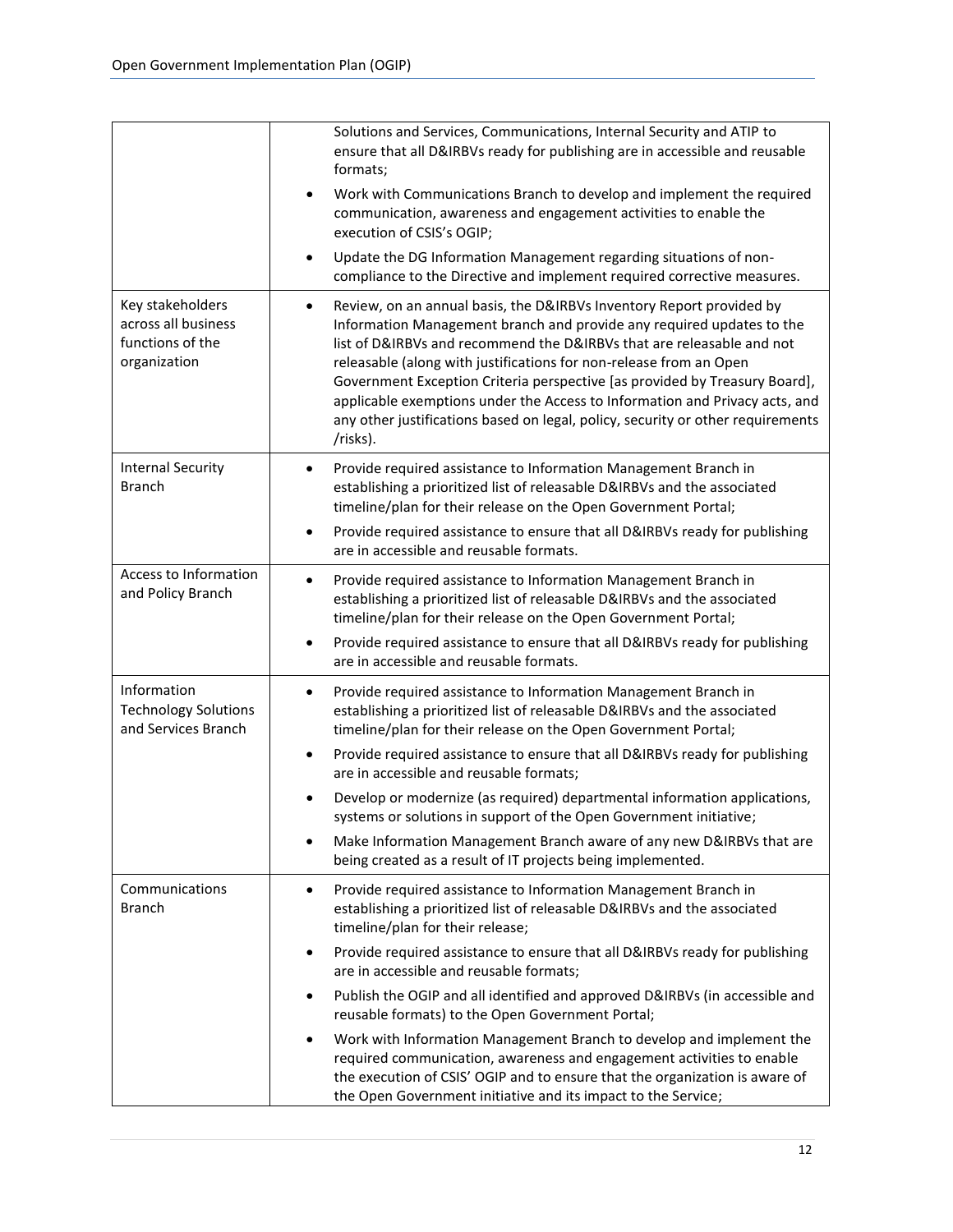|                                                                             | Solutions and Services, Communications, Internal Security and ATIP to<br>ensure that all D&IRBVs ready for publishing are in accessible and reusable<br>formats;<br>Work with Communications Branch to develop and implement the required<br>communication, awareness and engagement activities to enable the<br>execution of CSIS's OGIP;<br>Update the DG Information Management regarding situations of non-<br>$\bullet$<br>compliance to the Directive and implement required corrective measures.                                                                                                                                                                                                                                                                                   |
|-----------------------------------------------------------------------------|-------------------------------------------------------------------------------------------------------------------------------------------------------------------------------------------------------------------------------------------------------------------------------------------------------------------------------------------------------------------------------------------------------------------------------------------------------------------------------------------------------------------------------------------------------------------------------------------------------------------------------------------------------------------------------------------------------------------------------------------------------------------------------------------|
| Key stakeholders<br>across all business<br>functions of the<br>organization | Review, on an annual basis, the D&IRBVs Inventory Report provided by<br>$\bullet$<br>Information Management branch and provide any required updates to the<br>list of D&IRBVs and recommend the D&IRBVs that are releasable and not<br>releasable (along with justifications for non-release from an Open<br>Government Exception Criteria perspective [as provided by Treasury Board],<br>applicable exemptions under the Access to Information and Privacy acts, and<br>any other justifications based on legal, policy, security or other requirements<br>/risks).                                                                                                                                                                                                                     |
| <b>Internal Security</b><br><b>Branch</b>                                   | Provide required assistance to Information Management Branch in<br>$\bullet$<br>establishing a prioritized list of releasable D&IRBVs and the associated<br>timeline/plan for their release on the Open Government Portal;<br>Provide required assistance to ensure that all D&IRBVs ready for publishing<br>$\bullet$<br>are in accessible and reusable formats.                                                                                                                                                                                                                                                                                                                                                                                                                         |
| Access to Information<br>and Policy Branch                                  | Provide required assistance to Information Management Branch in<br>$\bullet$<br>establishing a prioritized list of releasable D&IRBVs and the associated<br>timeline/plan for their release on the Open Government Portal;<br>Provide required assistance to ensure that all D&IRBVs ready for publishing<br>٠<br>are in accessible and reusable formats.                                                                                                                                                                                                                                                                                                                                                                                                                                 |
| Information<br><b>Technology Solutions</b><br>and Services Branch           | Provide required assistance to Information Management Branch in<br>$\bullet$<br>establishing a prioritized list of releasable D&IRBVs and the associated<br>timeline/plan for their release on the Open Government Portal;<br>Provide required assistance to ensure that all D&IRBVs ready for publishing<br>٠<br>are in accessible and reusable formats;<br>Develop or modernize (as required) departmental information applications,<br>$\bullet$<br>systems or solutions in support of the Open Government initiative;<br>Make Information Management Branch aware of any new D&IRBVs that are<br>$\bullet$<br>being created as a result of IT projects being implemented.                                                                                                             |
| Communications<br><b>Branch</b>                                             | Provide required assistance to Information Management Branch in<br>$\bullet$<br>establishing a prioritized list of releasable D&IRBVs and the associated<br>timeline/plan for their release;<br>Provide required assistance to ensure that all D&IRBVs ready for publishing<br>٠<br>are in accessible and reusable formats;<br>Publish the OGIP and all identified and approved D&IRBVs (in accessible and<br>$\bullet$<br>reusable formats) to the Open Government Portal;<br>Work with Information Management Branch to develop and implement the<br>$\bullet$<br>required communication, awareness and engagement activities to enable<br>the execution of CSIS' OGIP and to ensure that the organization is aware of<br>the Open Government initiative and its impact to the Service; |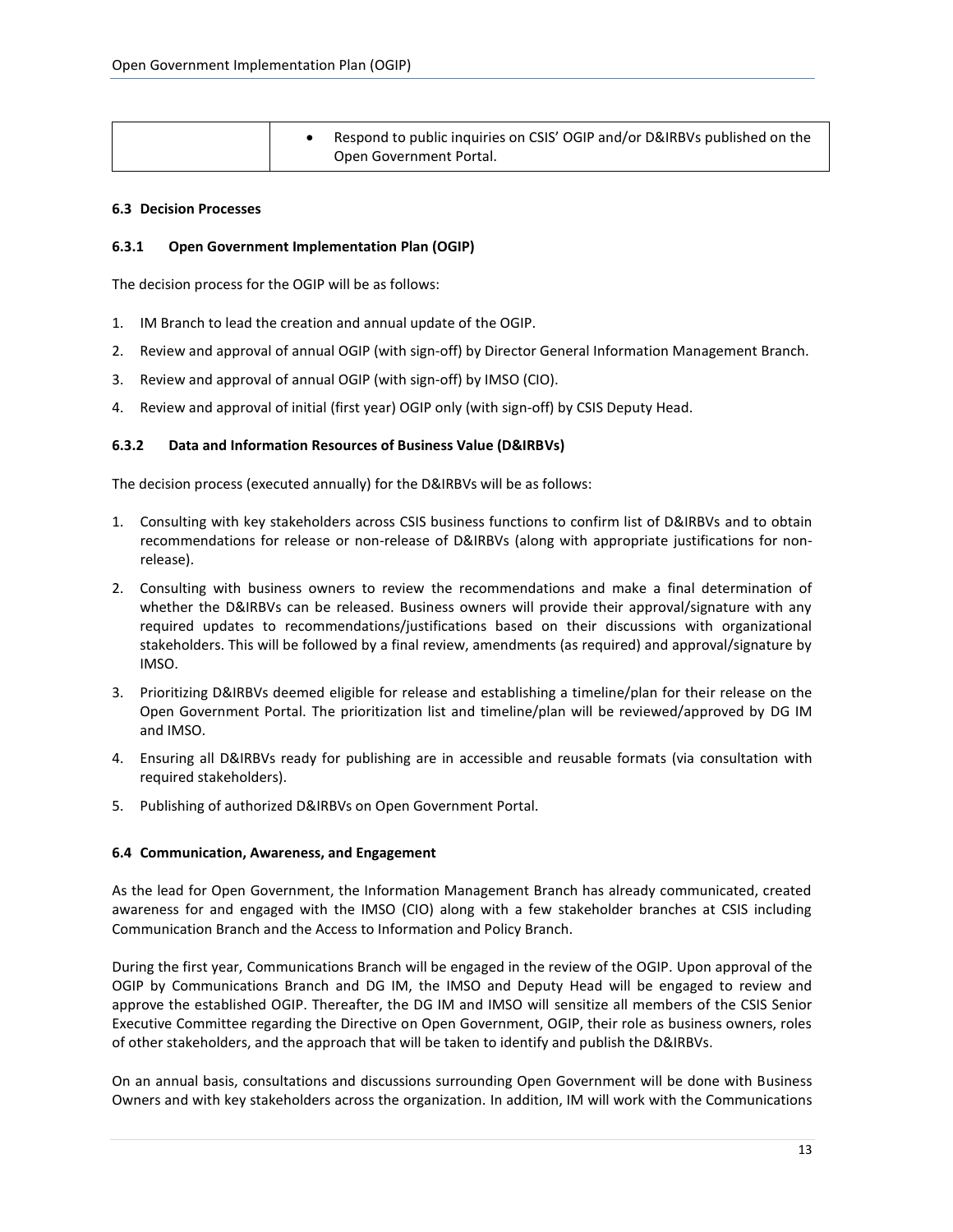| Respond to public inquiries on CSIS' OGIP and/or D&IRBVs published on the<br>Open Government Portal. |  |
|------------------------------------------------------------------------------------------------------|--|
|------------------------------------------------------------------------------------------------------|--|

#### <span id="page-12-0"></span>**6.3 Decision Processes**

#### **6.3.1 Open Government Implementation Plan (OGIP)**

The decision process for the OGIP will be as follows:

- 1. IM Branch to lead the creation and annual update of the OGIP.
- 2. Review and approval of annual OGIP (with sign-off) by Director General Information Management Branch.
- 3. Review and approval of annual OGIP (with sign-off) by IMSO (CIO).
- 4. Review and approval of initial (first year) OGIP only (with sign-off) by CSIS Deputy Head.

#### **6.3.2 Data and Information Resources of Business Value (D&IRBVs)**

The decision process (executed annually) for the D&IRBVs will be as follows:

- 1. Consulting with key stakeholders across CSIS business functions to confirm list of D&IRBVs and to obtain recommendations for release or non-release of D&IRBVs (along with appropriate justifications for nonrelease).
- 2. Consulting with business owners to review the recommendations and make a final determination of whether the D&IRBVs can be released. Business owners will provide their approval/signature with any required updates to recommendations/justifications based on their discussions with organizational stakeholders. This will be followed by a final review, amendments (as required) and approval/signature by IMSO.
- 3. Prioritizing D&IRBVs deemed eligible for release and establishing a timeline/plan for their release on the Open Government Portal. The prioritization list and timeline/plan will be reviewed/approved by DG IM and IMSO.
- 4. Ensuring all D&IRBVs ready for publishing are in accessible and reusable formats (via consultation with required stakeholders).
- <span id="page-12-1"></span>5. Publishing of authorized D&IRBVs on Open Government Portal.

#### **6.4 Communication, Awareness, and Engagement**

As the lead for Open Government, the Information Management Branch has already communicated, created awareness for and engaged with the IMSO (CIO) along with a few stakeholder branches at CSIS including Communication Branch and the Access to Information and Policy Branch.

During the first year, Communications Branch will be engaged in the review of the OGIP. Upon approval of the OGIP by Communications Branch and DG IM, the IMSO and Deputy Head will be engaged to review and approve the established OGIP. Thereafter, the DG IM and IMSO will sensitize all members of the CSIS Senior Executive Committee regarding the Directive on Open Government, OGIP, their role as business owners, roles of other stakeholders, and the approach that will be taken to identify and publish the D&IRBVs.

On an annual basis, consultations and discussions surrounding Open Government will be done with Business Owners and with key stakeholders across the organization. In addition, IM will work with the Communications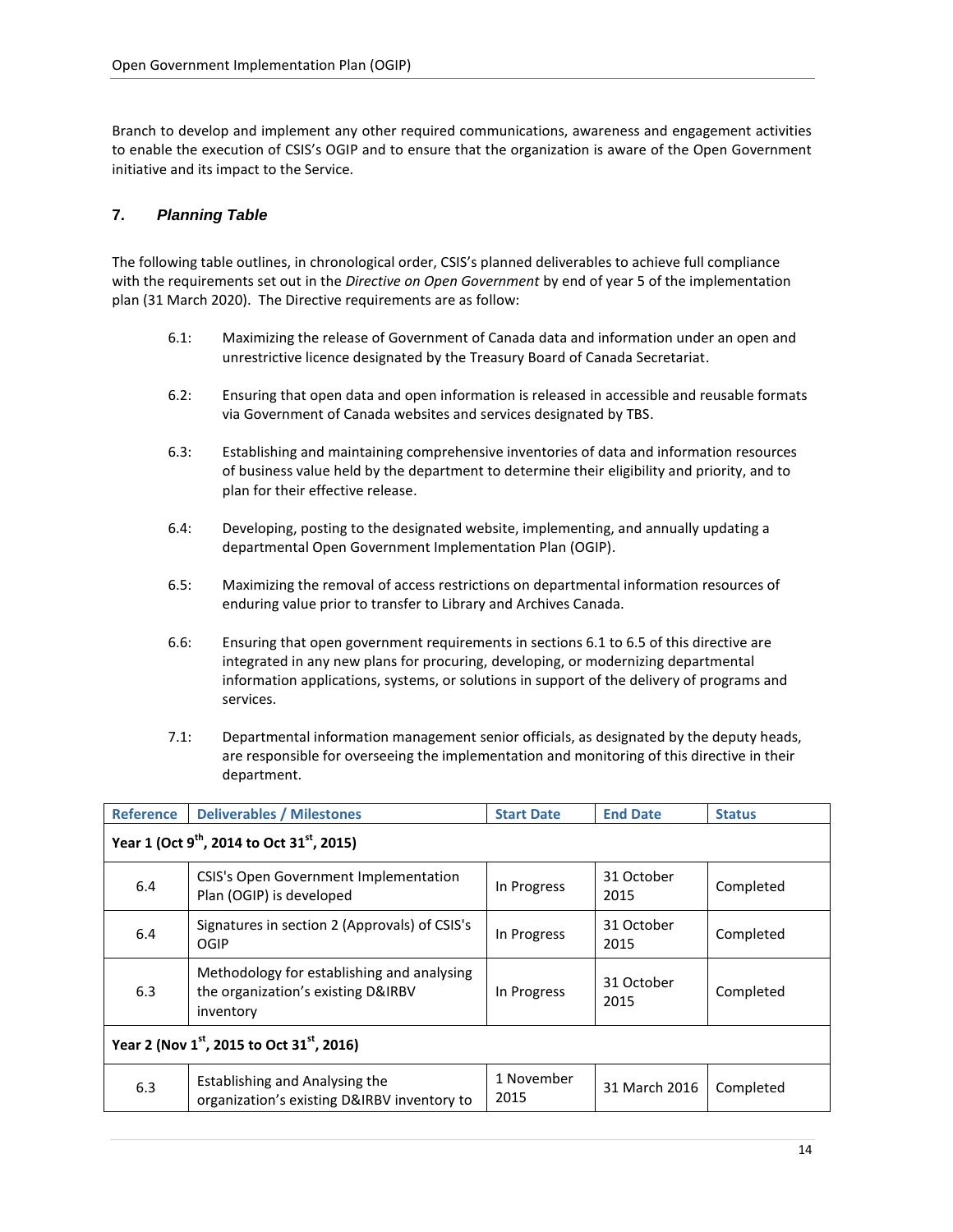Branch to develop and implement any other required communications, awareness and engagement activities to enable the execution of CSIS's OGIP and to ensure that the organization is aware of the Open Government initiative and its impact to the Service.

# <span id="page-13-0"></span>**7.** *Planning Table*

The following table outlines, in chronological order, CSIS's planned deliverables to achieve full compliance with the requirements set out in the *Directive on Open Government* by end of year 5 of the implementation plan (31 March 2020). The Directive requirements are as follow:

- 6.1: Maximizing the release of Government of Canada data and information under an open and unrestrictive licence designated by the Treasury Board of Canada Secretariat.
- 6.2: Ensuring that open data and open information is released in accessible and reusable formats via Government of Canada websites and services designated by TBS.
- 6.3: Establishing and maintaining comprehensive inventories of data and information resources of business value held by the department to determine their eligibility and priority, and to plan for their effective release.
- 6.4: Developing, posting to the designated website, implementing, and annually updating a departmental Open Government Implementation Plan (OGIP).
- 6.5: Maximizing the removal of access restrictions on departmental information resources of enduring value prior to transfer to Library and Archives Canada.
- 6.6: Ensuring that open government requirements in sections 6.1 to 6.5 of this directive are integrated in any new plans for procuring, developing, or modernizing departmental information applications, systems, or solutions in support of the delivery of programs and services.
- 7.1: Departmental information management senior officials, as designated by the deputy heads, are responsible for overseeing the implementation and monitoring of this directive in their department.

| <b>Reference</b>                                                   | <b>Deliverables / Milestones</b>                                                              | <b>Start Date</b>  | <b>End Date</b>    | <b>Status</b> |  |  |  |
|--------------------------------------------------------------------|-----------------------------------------------------------------------------------------------|--------------------|--------------------|---------------|--|--|--|
| Year 1 (Oct 9 <sup>th</sup> , 2014 to Oct 31 <sup>st</sup> , 2015) |                                                                                               |                    |                    |               |  |  |  |
| 6.4                                                                | CSIS's Open Government Implementation<br>Plan (OGIP) is developed                             | In Progress        | 31 October<br>2015 | Completed     |  |  |  |
| 6.4                                                                | Signatures in section 2 (Approvals) of CSIS's<br>OGIP                                         | In Progress        | 31 October<br>2015 | Completed     |  |  |  |
| 6.3                                                                | Methodology for establishing and analysing<br>the organization's existing D&IRBV<br>inventory | In Progress        | 31 October<br>2015 | Completed     |  |  |  |
| Year 2 (Nov 1st, 2015 to Oct 31st, 2016)                           |                                                                                               |                    |                    |               |  |  |  |
| 6.3                                                                | Establishing and Analysing the<br>organization's existing D&IRBV inventory to                 | 1 November<br>2015 | 31 March 2016      | Completed     |  |  |  |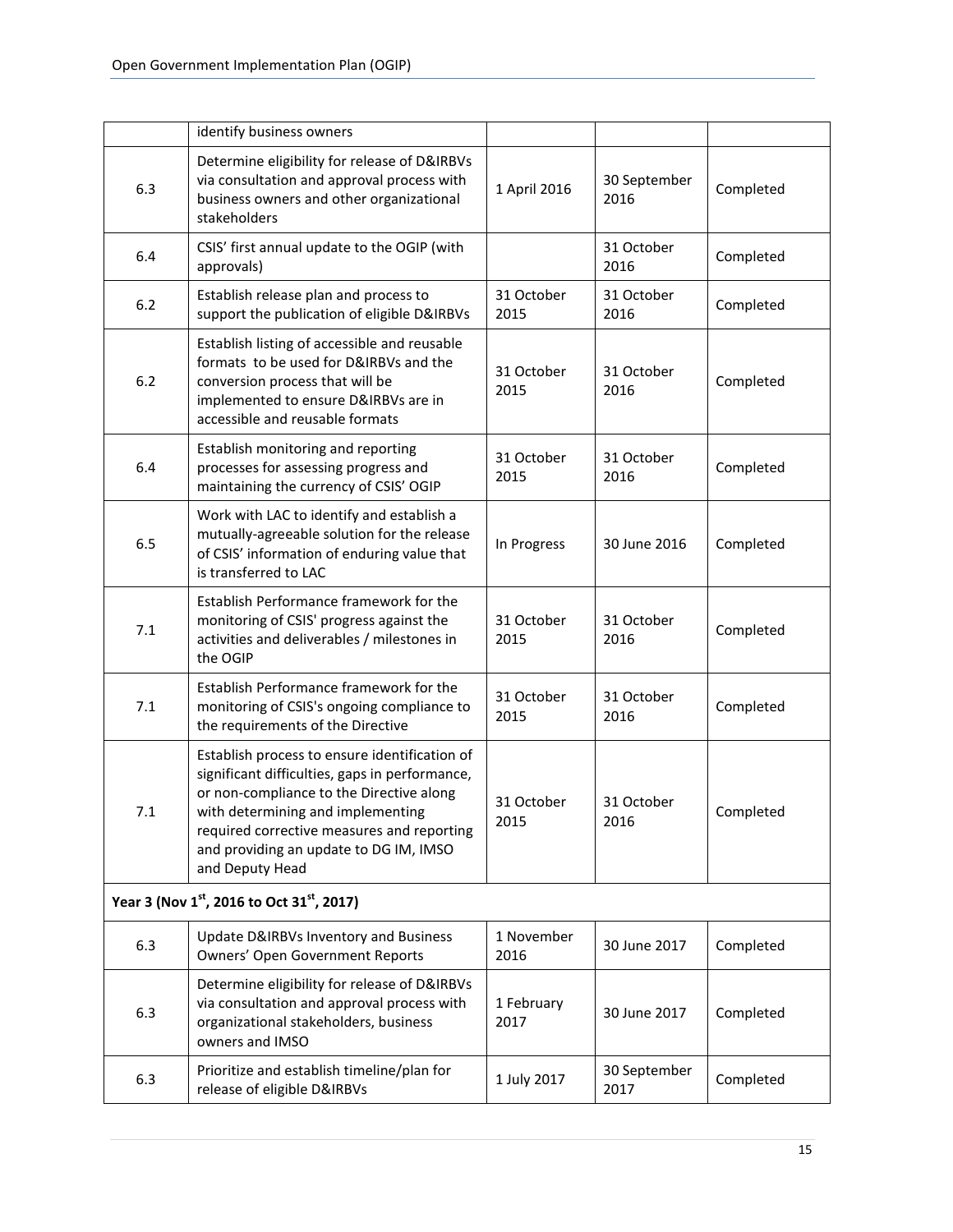|                                          | identify business owners                                                                                                                                                                                                                                                                    |                    |                      |           |  |
|------------------------------------------|---------------------------------------------------------------------------------------------------------------------------------------------------------------------------------------------------------------------------------------------------------------------------------------------|--------------------|----------------------|-----------|--|
| 6.3                                      | Determine eligibility for release of D&IRBVs<br>via consultation and approval process with<br>business owners and other organizational<br>stakeholders                                                                                                                                      | 1 April 2016       | 30 September<br>2016 | Completed |  |
| 6.4                                      | CSIS' first annual update to the OGIP (with<br>approvals)                                                                                                                                                                                                                                   |                    | 31 October<br>2016   | Completed |  |
| 6.2                                      | Establish release plan and process to<br>support the publication of eligible D&IRBVs                                                                                                                                                                                                        | 31 October<br>2015 | 31 October<br>2016   | Completed |  |
| 6.2                                      | Establish listing of accessible and reusable<br>formats to be used for D&IRBVs and the<br>conversion process that will be<br>implemented to ensure D&IRBVs are in<br>accessible and reusable formats                                                                                        | 31 October<br>2015 | 31 October<br>2016   | Completed |  |
| 6.4                                      | Establish monitoring and reporting<br>processes for assessing progress and<br>maintaining the currency of CSIS' OGIP                                                                                                                                                                        | 31 October<br>2015 | 31 October<br>2016   | Completed |  |
| 6.5                                      | Work with LAC to identify and establish a<br>mutually-agreeable solution for the release<br>of CSIS' information of enduring value that<br>is transferred to LAC                                                                                                                            | In Progress        | 30 June 2016         | Completed |  |
| 7.1                                      | Establish Performance framework for the<br>monitoring of CSIS' progress against the<br>activities and deliverables / milestones in<br>the OGIP                                                                                                                                              | 31 October<br>2015 | 31 October<br>2016   | Completed |  |
| 7.1                                      | Establish Performance framework for the<br>monitoring of CSIS's ongoing compliance to<br>the requirements of the Directive                                                                                                                                                                  | 31 October<br>2015 | 31 October<br>2016   | Completed |  |
| 7.1                                      | Establish process to ensure identification of<br>significant difficulties, gaps in performance,<br>or non-compliance to the Directive along<br>with determining and implementing<br>required corrective measures and reporting<br>and providing an update to DG IM, IMSO<br>and Deputy Head | 31 October<br>2015 | 31 October<br>2016   | Completed |  |
| Year 3 (Nov 1st, 2016 to Oct 31st, 2017) |                                                                                                                                                                                                                                                                                             |                    |                      |           |  |
| 6.3                                      | Update D&IRBVs Inventory and Business<br>Owners' Open Government Reports                                                                                                                                                                                                                    | 1 November<br>2016 | 30 June 2017         | Completed |  |
| 6.3                                      | Determine eligibility for release of D&IRBVs<br>via consultation and approval process with<br>organizational stakeholders, business<br>owners and IMSO                                                                                                                                      | 1 February<br>2017 | 30 June 2017         | Completed |  |
| 6.3                                      | Prioritize and establish timeline/plan for<br>release of eligible D&IRBVs                                                                                                                                                                                                                   | 1 July 2017        | 30 September<br>2017 | Completed |  |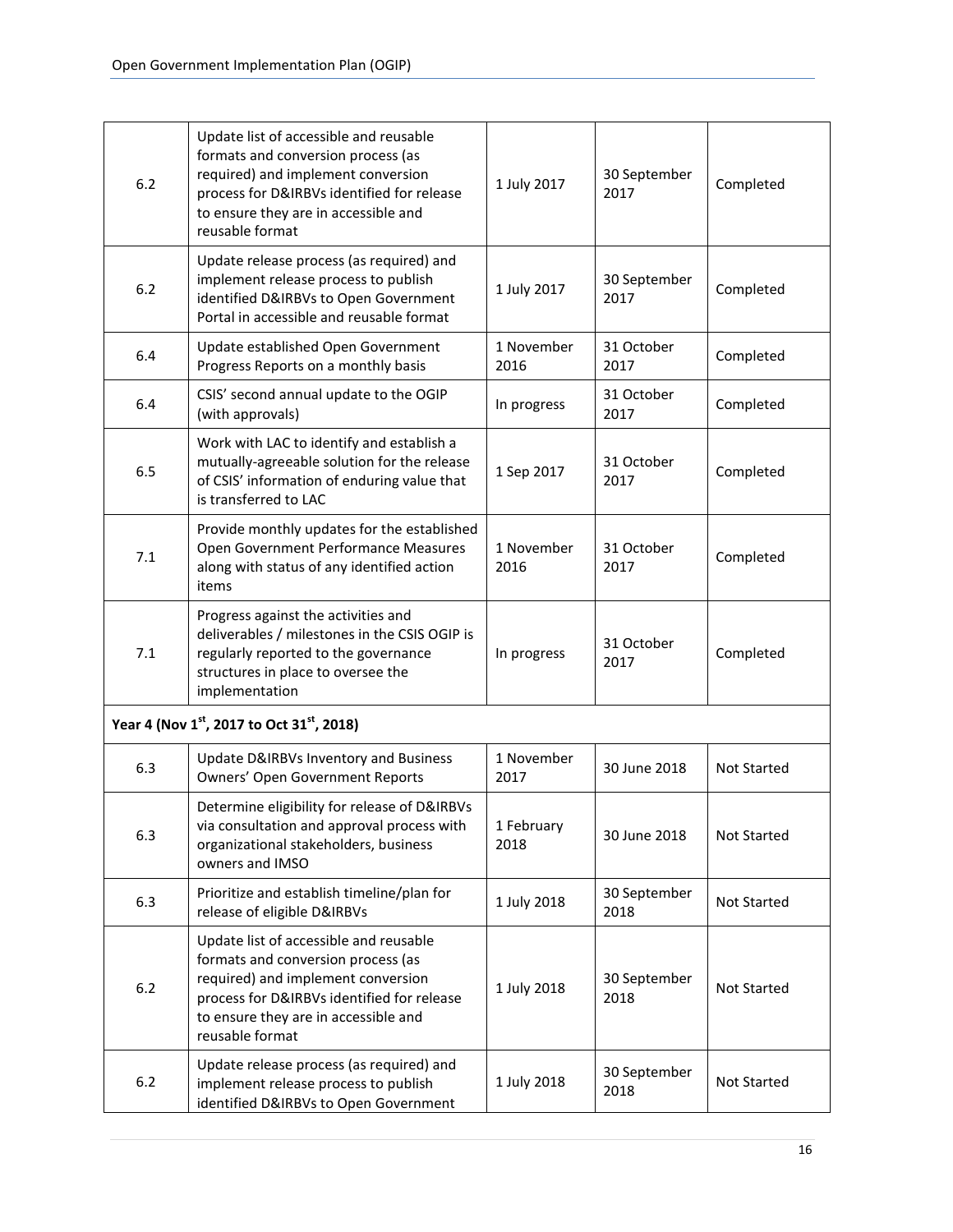| 6.2   | Update list of accessible and reusable<br>formats and conversion process (as<br>required) and implement conversion<br>process for D&IRBVs identified for release<br>to ensure they are in accessible and<br>reusable format | 1 July 2017        | 30 September<br>2017 | Completed          |
|-------|-----------------------------------------------------------------------------------------------------------------------------------------------------------------------------------------------------------------------------|--------------------|----------------------|--------------------|
| 6.2   | Update release process (as required) and<br>implement release process to publish<br>identified D&IRBVs to Open Government<br>Portal in accessible and reusable format                                                       | 1 July 2017        | 30 September<br>2017 | Completed          |
| 6.4   | Update established Open Government<br>Progress Reports on a monthly basis                                                                                                                                                   | 1 November<br>2016 | 31 October<br>2017   | Completed          |
| 6.4   | CSIS' second annual update to the OGIP<br>(with approvals)                                                                                                                                                                  | In progress        | 31 October<br>2017   | Completed          |
| 6.5   | Work with LAC to identify and establish a<br>mutually-agreeable solution for the release<br>of CSIS' information of enduring value that<br>is transferred to LAC                                                            | 1 Sep 2017         | 31 October<br>2017   | Completed          |
| 7.1   | Provide monthly updates for the established<br>Open Government Performance Measures<br>along with status of any identified action<br>items                                                                                  | 1 November<br>2016 | 31 October<br>2017   | Completed          |
| 7.1   | Progress against the activities and<br>deliverables / milestones in the CSIS OGIP is<br>regularly reported to the governance<br>structures in place to oversee the<br>implementation                                        | In progress        | 31 October<br>2017   | Completed          |
|       | Year 4 (Nov 1st, 2017 to Oct 31st, 2018)                                                                                                                                                                                    |                    |                      |                    |
| 6.3   | Update D&IRBVs Inventory and Business<br><b>Owners' Open Government Reports</b>                                                                                                                                             | 1 November<br>2017 | 30 June 2018         | Not Started        |
| 6.3   | Determine eligibility for release of D&IRBVs<br>via consultation and approval process with<br>organizational stakeholders, business<br>owners and IMSO                                                                      | 1 February<br>2018 | 30 June 2018         | <b>Not Started</b> |
| 6.3   | Prioritize and establish timeline/plan for<br>release of eligible D&IRBVs                                                                                                                                                   | 1 July 2018        | 30 September<br>2018 | Not Started        |
| $6.2$ | Update list of accessible and reusable<br>formats and conversion process (as<br>required) and implement conversion<br>process for D&IRBVs identified for release<br>to ensure they are in accessible and<br>reusable format | 1 July 2018        | 30 September<br>2018 | Not Started        |
| 6.2   | Update release process (as required) and<br>implement release process to publish<br>identified D&IRBVs to Open Government                                                                                                   | 1 July 2018        | 30 September<br>2018 | Not Started        |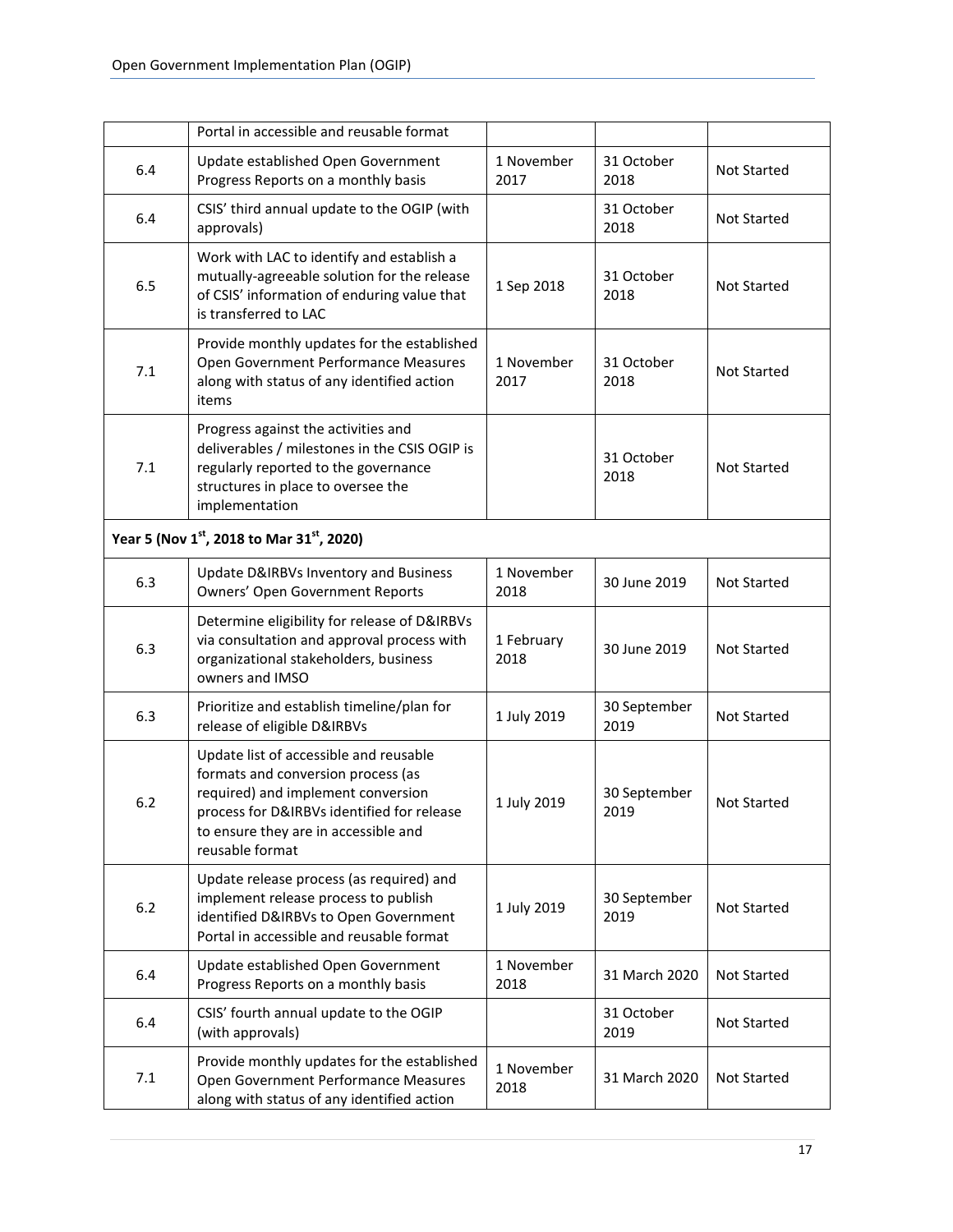|     | Portal in accessible and reusable format                                                                                                                                                                                    |                    |                      |                    |
|-----|-----------------------------------------------------------------------------------------------------------------------------------------------------------------------------------------------------------------------------|--------------------|----------------------|--------------------|
| 6.4 | Update established Open Government<br>Progress Reports on a monthly basis                                                                                                                                                   | 1 November<br>2017 | 31 October<br>2018   | <b>Not Started</b> |
| 6.4 | CSIS' third annual update to the OGIP (with<br>approvals)                                                                                                                                                                   |                    | 31 October<br>2018   | <b>Not Started</b> |
| 6.5 | Work with LAC to identify and establish a<br>mutually-agreeable solution for the release<br>of CSIS' information of enduring value that<br>is transferred to LAC                                                            | 1 Sep 2018         | 31 October<br>2018   | <b>Not Started</b> |
| 7.1 | Provide monthly updates for the established<br>Open Government Performance Measures<br>along with status of any identified action<br>items                                                                                  | 1 November<br>2017 | 31 October<br>2018   | <b>Not Started</b> |
| 7.1 | Progress against the activities and<br>deliverables / milestones in the CSIS OGIP is<br>regularly reported to the governance<br>structures in place to oversee the<br>implementation                                        |                    | 31 October<br>2018   | <b>Not Started</b> |
|     | Year 5 (Nov 1st, 2018 to Mar 31st, 2020)                                                                                                                                                                                    |                    |                      |                    |
| 6.3 | Update D&IRBVs Inventory and Business<br>Owners' Open Government Reports                                                                                                                                                    | 1 November<br>2018 | 30 June 2019         | Not Started        |
| 6.3 | Determine eligibility for release of D&IRBVs<br>via consultation and approval process with<br>organizational stakeholders, business<br>owners and IMSO                                                                      | 1 February<br>2018 | 30 June 2019         | Not Started        |
| 6.3 | Prioritize and establish timeline/plan for<br>release of eligible D&IRBVs                                                                                                                                                   | 1 July 2019        | 30 September<br>2019 | Not Started        |
| 6.2 | Update list of accessible and reusable<br>formats and conversion process (as<br>required) and implement conversion<br>process for D&IRBVs identified for release<br>to ensure they are in accessible and<br>reusable format | 1 July 2019        | 30 September<br>2019 | <b>Not Started</b> |
| 6.2 | Update release process (as required) and<br>implement release process to publish<br>identified D&IRBVs to Open Government<br>Portal in accessible and reusable format                                                       | 1 July 2019        | 30 September<br>2019 | Not Started        |
| 6.4 | Update established Open Government<br>Progress Reports on a monthly basis                                                                                                                                                   | 1 November<br>2018 | 31 March 2020        | Not Started        |
| 6.4 | CSIS' fourth annual update to the OGIP<br>(with approvals)                                                                                                                                                                  |                    | 31 October<br>2019   | <b>Not Started</b> |
| 7.1 | Provide monthly updates for the established<br>Open Government Performance Measures<br>along with status of any identified action                                                                                           | 1 November<br>2018 | 31 March 2020        | <b>Not Started</b> |